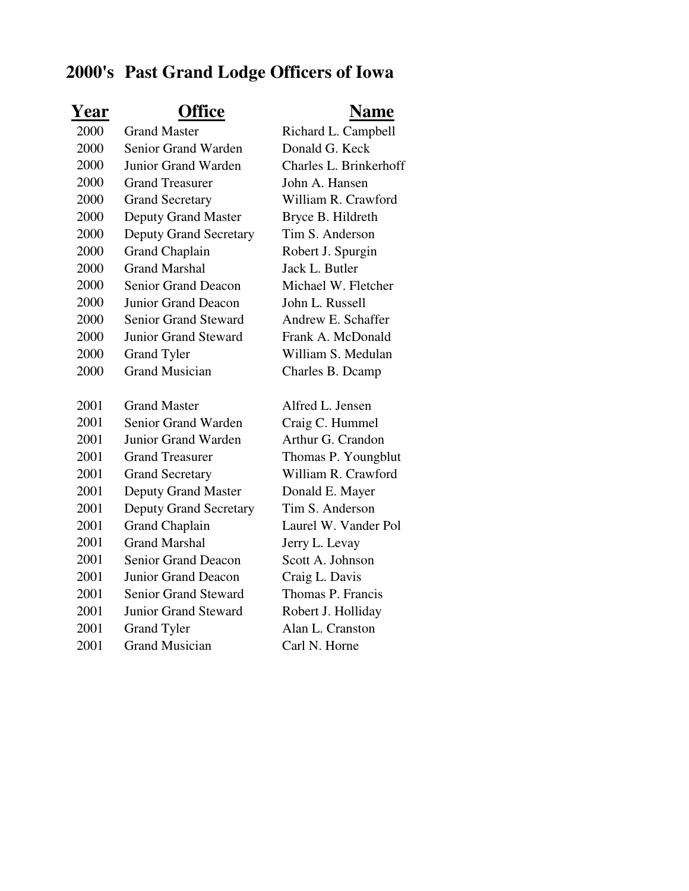## **2000's Past Grand Lodge Officers of Iowa**

| <u>Year</u> | <b>Office</b>                 | <b>Name</b>            |
|-------------|-------------------------------|------------------------|
| 2000        | <b>Grand Master</b>           | Richard L. Campbell    |
| 2000        | Senior Grand Warden           | Donald G. Keck         |
| 2000        | Junior Grand Warden           | Charles L. Brinkerhoff |
| 2000        | <b>Grand Treasurer</b>        | John A. Hansen         |
| 2000        | <b>Grand Secretary</b>        | William R. Crawford    |
| 2000        | <b>Deputy Grand Master</b>    | Bryce B. Hildreth      |
| 2000        | <b>Deputy Grand Secretary</b> | Tim S. Anderson        |
| 2000        | <b>Grand Chaplain</b>         | Robert J. Spurgin      |
| 2000        | <b>Grand Marshal</b>          | Jack L. Butler         |
| 2000        | <b>Senior Grand Deacon</b>    | Michael W. Fletcher    |
| 2000        | Junior Grand Deacon           | John L. Russell        |
| 2000        | <b>Senior Grand Steward</b>   | Andrew E. Schaffer     |
| 2000        | <b>Junior Grand Steward</b>   | Frank A. McDonald      |
| 2000        | <b>Grand Tyler</b>            | William S. Medulan     |
| 2000        | <b>Grand Musician</b>         | Charles B. Dcamp       |
|             |                               |                        |
| 2001        | <b>Grand Master</b>           | Alfred L. Jensen       |
| 2001        | Senior Grand Warden           | Craig C. Hummel        |
| 2001        | <b>Junior Grand Warden</b>    | Arthur G. Crandon      |
| 2001        | <b>Grand Treasurer</b>        | Thomas P. Youngblut    |
| 2001        | <b>Grand Secretary</b>        | William R. Crawford    |
| 2001        | <b>Deputy Grand Master</b>    | Donald E. Mayer        |
| 2001        | <b>Deputy Grand Secretary</b> | Tim S. Anderson        |
| 2001        | <b>Grand Chaplain</b>         | Laurel W. Vander Pol   |
| 2001        | <b>Grand Marshal</b>          | Jerry L. Levay         |
| 2001        | <b>Senior Grand Deacon</b>    | Scott A. Johnson       |
| 2001        | <b>Junior Grand Deacon</b>    | Craig L. Davis         |
| 2001        | <b>Senior Grand Steward</b>   | Thomas P. Francis      |
| 2001        | <b>Junior Grand Steward</b>   | Robert J. Holliday     |
| 2001        | <b>Grand Tyler</b>            | Alan L. Cranston       |
| 2001        | <b>Grand Musician</b>         | Carl N. Horne          |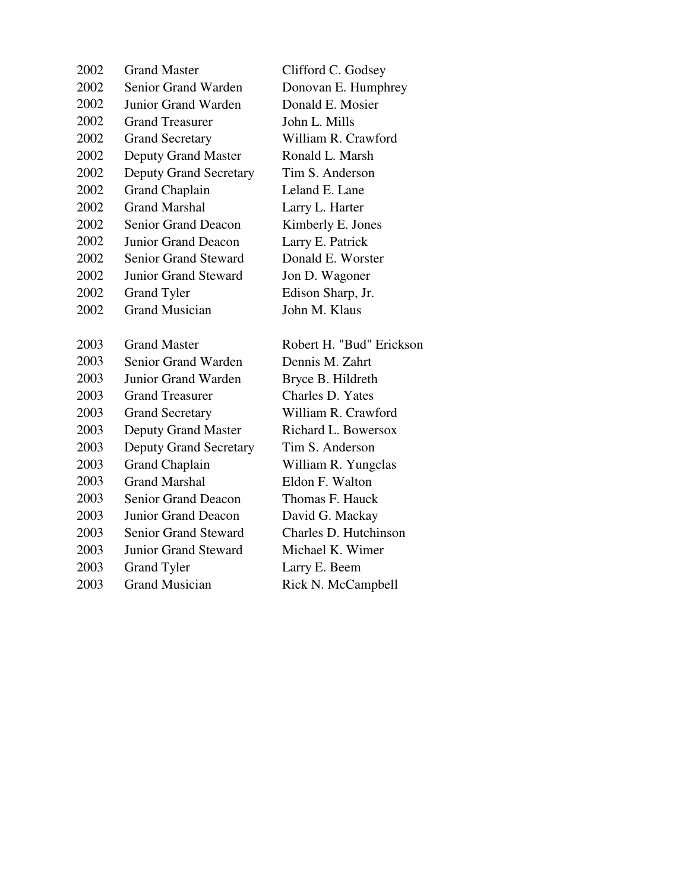| <b>Grand Master</b>                         | Clifford C. Godsey       |
|---------------------------------------------|--------------------------|
| Senior Grand Warden                         | Donovan E. Humphrey      |
| <b>Junior Grand Warden</b>                  | Donald E. Mosier         |
| <b>Grand Treasurer</b>                      | John L. Mills            |
| <b>Grand Secretary</b>                      | William R. Crawford      |
| <b>Deputy Grand Master</b>                  | Ronald L. Marsh          |
| <b>Deputy Grand Secretary</b>               | Tim S. Anderson          |
| <b>Grand Chaplain</b>                       | Leland E. Lane           |
| <b>Grand Marshal</b>                        | Larry L. Harter          |
| <b>Senior Grand Deacon</b>                  | Kimberly E. Jones        |
| <b>Junior Grand Deacon</b>                  | Larry E. Patrick         |
| <b>Senior Grand Steward</b>                 | Donald E. Worster        |
| <b>Junior Grand Steward</b>                 | Jon D. Wagoner           |
| <b>Grand Tyler</b>                          | Edison Sharp, Jr.        |
| <b>Grand Musician</b>                       | John M. Klaus            |
|                                             |                          |
| <b>Grand Master</b>                         | Robert H. "Bud" Erickson |
|                                             |                          |
| Senior Grand Warden                         | Dennis M. Zahrt          |
| Junior Grand Warden                         | Bryce B. Hildreth        |
| <b>Grand Treasurer</b>                      | Charles D. Yates         |
| <b>Grand Secretary</b>                      | William R. Crawford      |
| <b>Deputy Grand Master</b>                  | Richard L. Bowersox      |
| <b>Deputy Grand Secretary</b>               | Tim S. Anderson          |
| <b>Grand Chaplain</b>                       | William R. Yungclas      |
| <b>Grand Marshal</b>                        | Eldon F. Walton          |
| <b>Senior Grand Deacon</b>                  | Thomas F. Hauck          |
| <b>Junior Grand Deacon</b>                  | David G. Mackay          |
| <b>Senior Grand Steward</b>                 | Charles D. Hutchinson    |
| <b>Junior Grand Steward</b>                 | Michael K. Wimer         |
| <b>Grand Tyler</b><br><b>Grand Musician</b> | Larry E. Beem            |
|                                             |                          |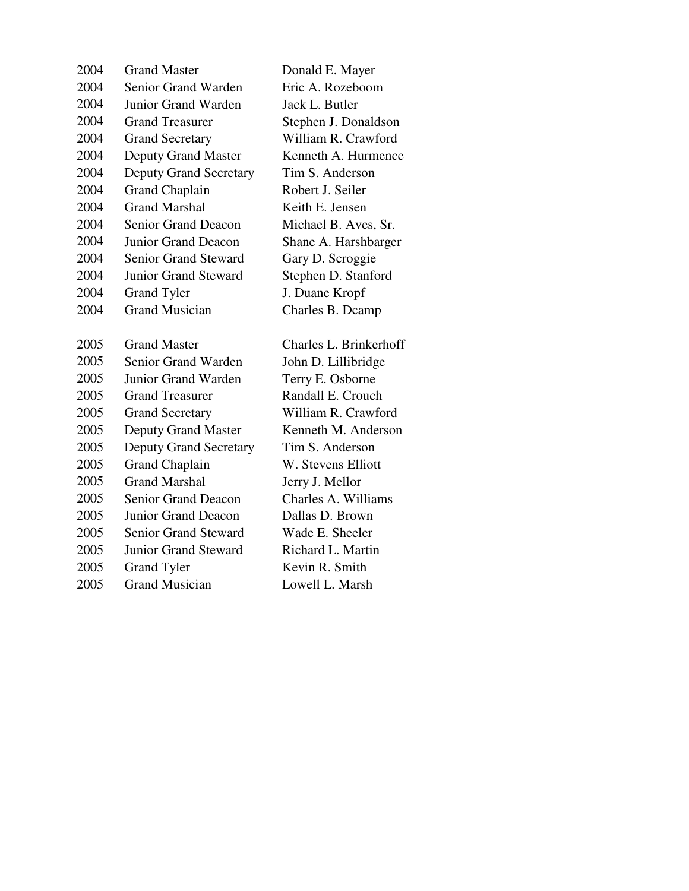| 2004 | <b>Grand Master</b>           | Donald E. Mayer        |
|------|-------------------------------|------------------------|
| 2004 | Senior Grand Warden           | Eric A. Rozeboom       |
| 2004 | Junior Grand Warden           | Jack L. Butler         |
| 2004 | <b>Grand Treasurer</b>        | Stephen J. Donaldson   |
| 2004 | <b>Grand Secretary</b>        | William R. Crawford    |
| 2004 | Deputy Grand Master           | Kenneth A. Hurmence    |
| 2004 | <b>Deputy Grand Secretary</b> | Tim S. Anderson        |
| 2004 | <b>Grand Chaplain</b>         | Robert J. Seiler       |
| 2004 | <b>Grand Marshal</b>          | Keith E. Jensen        |
| 2004 | <b>Senior Grand Deacon</b>    | Michael B. Aves, Sr.   |
| 2004 | Junior Grand Deacon           | Shane A. Harshbarger   |
| 2004 | <b>Senior Grand Steward</b>   | Gary D. Scroggie       |
| 2004 | <b>Junior Grand Steward</b>   | Stephen D. Stanford    |
| 2004 | <b>Grand Tyler</b>            | J. Duane Kropf         |
| 2004 | <b>Grand Musician</b>         | Charles B. Dcamp       |
|      |                               |                        |
|      |                               |                        |
| 2005 | <b>Grand Master</b>           | Charles L. Brinkerhoff |
| 2005 | Senior Grand Warden           | John D. Lillibridge    |
| 2005 | Junior Grand Warden           | Terry E. Osborne       |
| 2005 | <b>Grand Treasurer</b>        | Randall E. Crouch      |
| 2005 | <b>Grand Secretary</b>        | William R. Crawford    |
| 2005 | <b>Deputy Grand Master</b>    | Kenneth M. Anderson    |
| 2005 | <b>Deputy Grand Secretary</b> | Tim S. Anderson        |
| 2005 | <b>Grand Chaplain</b>         | W. Stevens Elliott     |
| 2005 | <b>Grand Marshal</b>          | Jerry J. Mellor        |
| 2005 | <b>Senior Grand Deacon</b>    | Charles A. Williams    |
| 2005 | <b>Junior Grand Deacon</b>    | Dallas D. Brown        |
| 2005 | <b>Senior Grand Steward</b>   | Wade E. Sheeler        |
| 2005 | <b>Junior Grand Steward</b>   | Richard L. Martin      |
| 2005 | <b>Grand Tyler</b>            | Kevin R. Smith         |
| 2005 | <b>Grand Musician</b>         | Lowell L. Marsh        |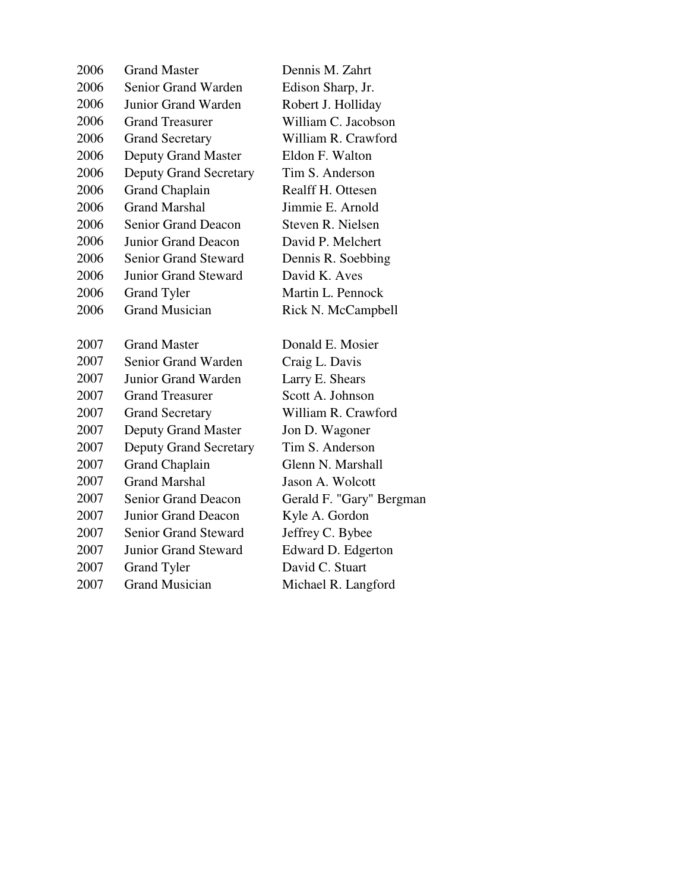| 2006         | <b>Grand Master</b>           | Dennis M. Zahrt                     |
|--------------|-------------------------------|-------------------------------------|
| 2006         | <b>Senior Grand Warden</b>    | Edison Sharp, Jr.                   |
| 2006         | Junior Grand Warden           | Robert J. Holliday                  |
| 2006         | <b>Grand Treasurer</b>        | William C. Jacobson                 |
| 2006         | <b>Grand Secretary</b>        | William R. Crawford                 |
| 2006         | <b>Deputy Grand Master</b>    | Eldon F. Walton                     |
| 2006         | <b>Deputy Grand Secretary</b> | Tim S. Anderson                     |
| 2006         | <b>Grand Chaplain</b>         | Realff H. Ottesen                   |
| 2006         | <b>Grand Marshal</b>          | Jimmie E. Arnold                    |
| 2006         | <b>Senior Grand Deacon</b>    | Steven R. Nielsen                   |
| 2006         | Junior Grand Deacon           | David P. Melchert                   |
| 2006         | <b>Senior Grand Steward</b>   | Dennis R. Soebbing                  |
| 2006         | <b>Junior Grand Steward</b>   | David K. Aves                       |
| 2006         | <b>Grand Tyler</b>            | Martin L. Pennock                   |
| 2006         | <b>Grand Musician</b>         | Rick N. McCampbell                  |
|              |                               |                                     |
|              | <b>Grand Master</b>           | Donald E. Mosier                    |
| 2007<br>2007 | Senior Grand Warden           |                                     |
| 2007         | Junior Grand Warden           | Craig L. Davis                      |
| 2007         | <b>Grand Treasurer</b>        | Larry E. Shears<br>Scott A. Johnson |
| 2007         | <b>Grand Secretary</b>        | William R. Crawford                 |
| 2007         | <b>Deputy Grand Master</b>    | Jon D. Wagoner                      |
| 2007         | <b>Deputy Grand Secretary</b> | Tim S. Anderson                     |
| 2007         | <b>Grand Chaplain</b>         | Glenn N. Marshall                   |
| 2007         | <b>Grand Marshal</b>          | Jason A. Wolcott                    |
| 2007         | <b>Senior Grand Deacon</b>    | Gerald F. "Gary" Bergman            |
| 2007         | Junior Grand Deacon           | Kyle A. Gordon                      |
| 2007         | <b>Senior Grand Steward</b>   | Jeffrey C. Bybee                    |
| 2007         | <b>Junior Grand Steward</b>   | Edward D. Edgerton                  |
| 2007         | <b>Grand Tyler</b>            | David C. Stuart                     |
| 2007         | <b>Grand Musician</b>         | Michael R. Langford                 |